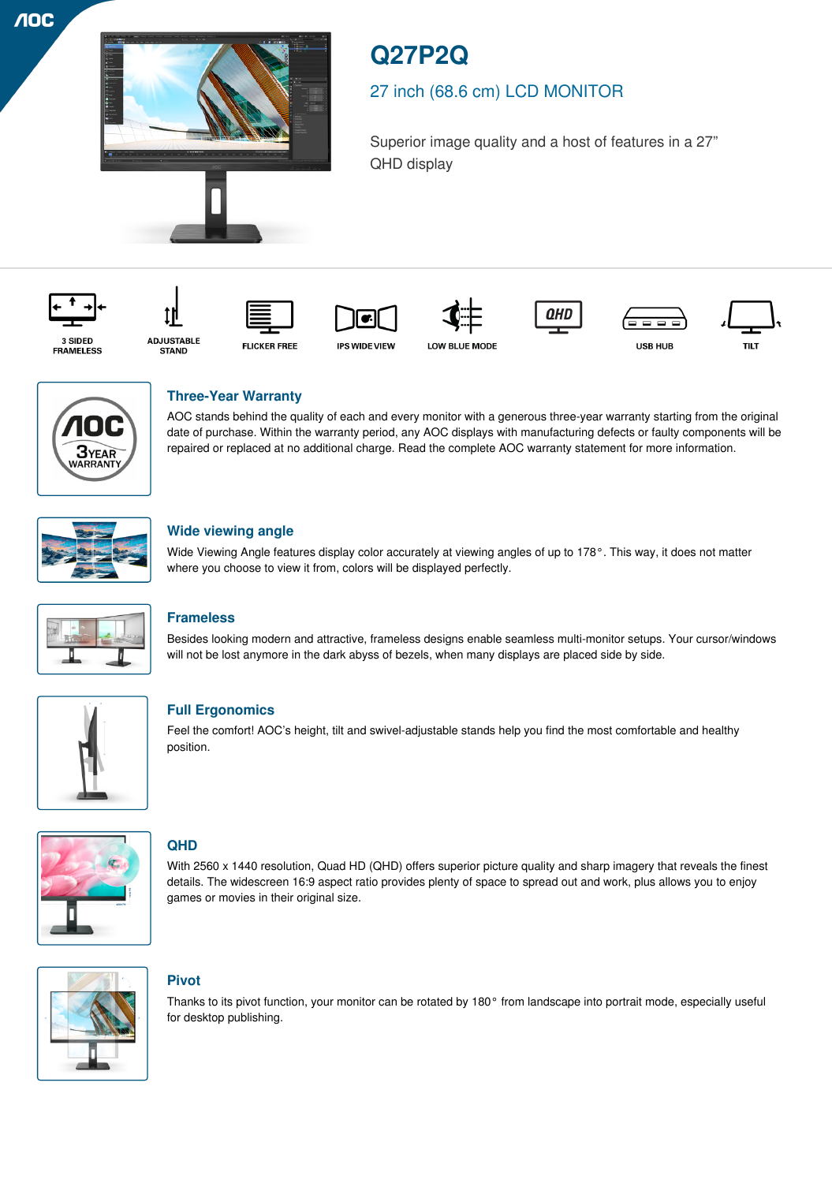**AOC** 



# **Q27P2Q**

## 27 inch (68.6 cm) LCD MONITOR

Superior image quality and a host of features in a 27" QHD display

QHD



















## **Three-Year Warranty**

AOC stands behind the quality of each and every monitor with a generous three-year warranty starting from the original date of purchase. Within the warranty period, any AOC displays with manufacturing defects or faulty components will be repaired or replaced at no additional charge. Read the complete AOC warranty statement for more information.



### **Wide viewing angle**

Wide Viewing Angle features display color accurately at viewing angles of up to 178°. This way, it does not matter where you choose to view it from, colors will be displayed perfectly.



## **Frameless**

Besides looking modern and attractive, frameless designs enable seamless multi-monitor setups. Your cursor/windows will not be lost anymore in the dark abyss of bezels, when many displays are placed side by side.



## **Full Ergonomics**

Feel the comfort! AOC's height, tilt and swivel-adjustable stands help you find the most comfortable and healthy position.



## **QHD**

With 2560 x 1440 resolution, Quad HD (QHD) offers superior picture quality and sharp imagery that reveals the finest details. The widescreen 16:9 aspect ratio provides plenty of space to spread out and work, plus allows you to enjoy games or movies in their original size.



## **Pivot**

Thanks to its pivot function, your monitor can be rotated by 180° from landscape into portrait mode, especially useful for desktop publishing.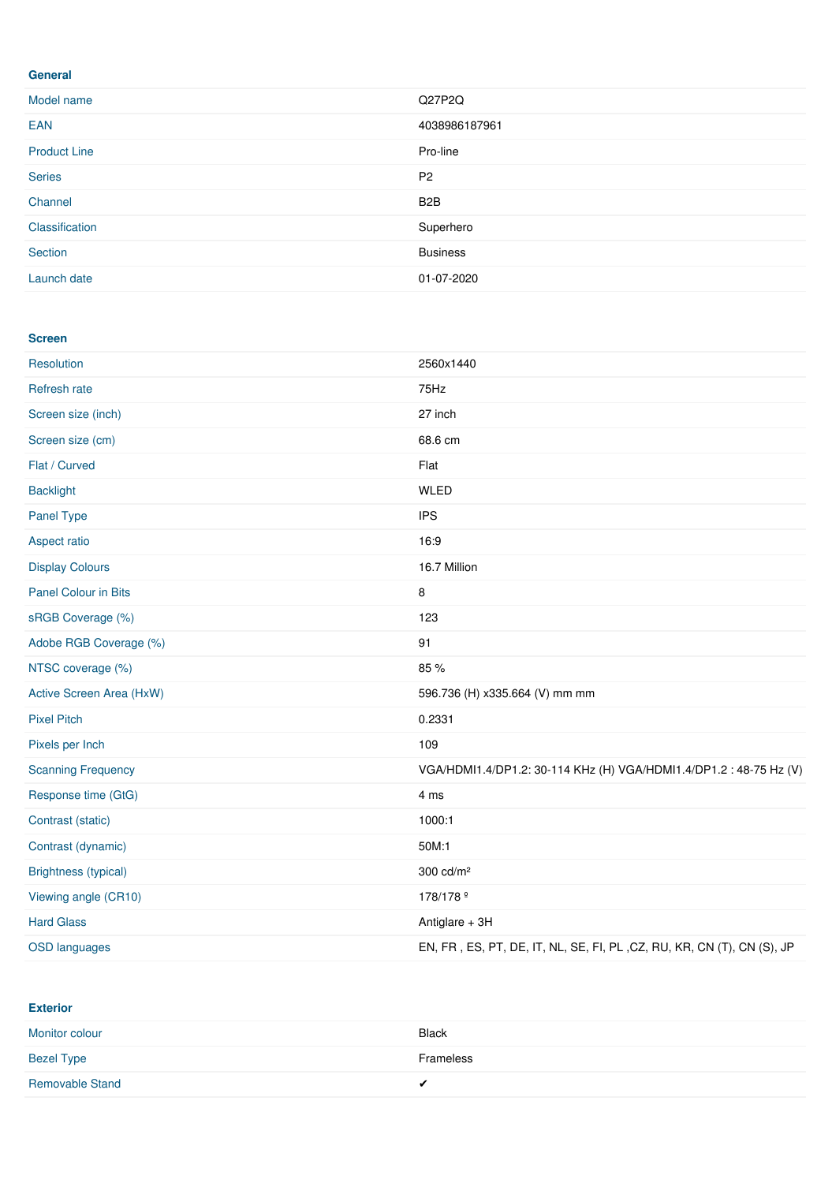#### **General**

| Model name          | Q27P2Q           |
|---------------------|------------------|
| <b>EAN</b>          | 4038986187961    |
| <b>Product Line</b> | Pro-line         |
| <b>Series</b>       | P <sub>2</sub>   |
| Channel             | B <sub>2</sub> B |
| Classification      | Superhero        |
| Section             | <b>Business</b>  |
| Launch date         | 01-07-2020       |

#### **Screen**

| Resolution                  | 2560x1440                                                              |
|-----------------------------|------------------------------------------------------------------------|
| Refresh rate                | 75Hz                                                                   |
| Screen size (inch)          | 27 inch                                                                |
| Screen size (cm)            | 68.6 cm                                                                |
| Flat / Curved               | Flat                                                                   |
| <b>Backlight</b>            | <b>WLED</b>                                                            |
| <b>Panel Type</b>           | <b>IPS</b>                                                             |
| Aspect ratio                | 16:9                                                                   |
| <b>Display Colours</b>      | 16.7 Million                                                           |
| <b>Panel Colour in Bits</b> | 8                                                                      |
| sRGB Coverage (%)           | 123                                                                    |
| Adobe RGB Coverage (%)      | 91                                                                     |
| NTSC coverage (%)           | 85 %                                                                   |
| Active Screen Area (HxW)    | 596.736 (H) x335.664 (V) mm mm                                         |
| <b>Pixel Pitch</b>          | 0.2331                                                                 |
| Pixels per Inch             | 109                                                                    |
| <b>Scanning Frequency</b>   | VGA/HDMI1.4/DP1.2: 30-114 KHz (H) VGA/HDMI1.4/DP1.2: 48-75 Hz (V)      |
| Response time (GtG)         | 4 ms                                                                   |
| Contrast (static)           | 1000:1                                                                 |
| Contrast (dynamic)          | 50M:1                                                                  |
| <b>Brightness (typical)</b> | $300 \text{ cd/m}^2$                                                   |
| Viewing angle (CR10)        | 178/178 <sup>º</sup>                                                   |
| <b>Hard Glass</b>           | Antiglare + 3H                                                         |
| <b>OSD languages</b>        | EN, FR, ES, PT, DE, IT, NL, SE, FI, PL, CZ, RU, KR, CN (T), CN (S), JP |

**Exterior**

| Monitor colour         | <b>Black</b> |
|------------------------|--------------|
| <b>Bezel Type</b>      | Frameless    |
| <b>Removable Stand</b> | $\cdot$      |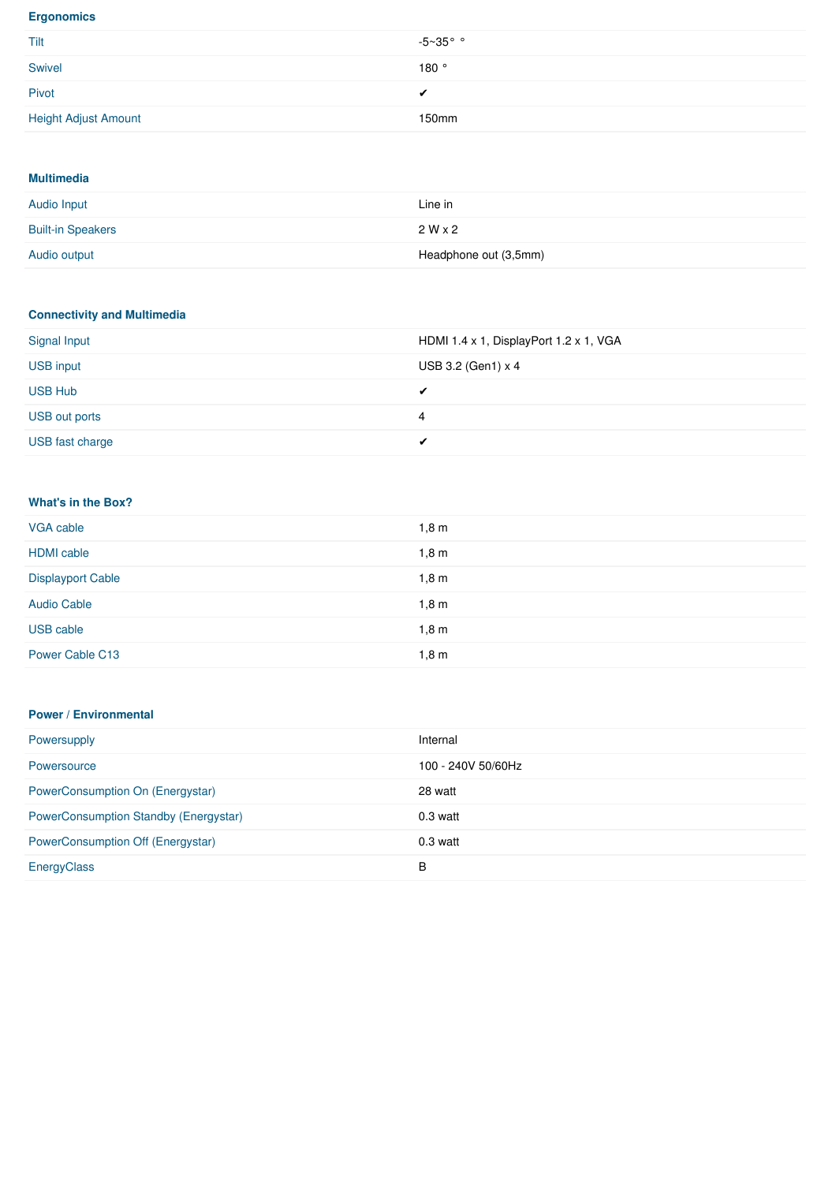#### **Ergonomics**

| Tilt                        | $-5~35$ °° |
|-----------------------------|------------|
| Swivel                      | 180°       |
| Pivot                       | ◢          |
| <b>Height Adjust Amount</b> | 150mm      |

#### **Multimedia**

| Audio Input              | Line in               |
|--------------------------|-----------------------|
| <b>Built-in Speakers</b> | $2W \times 2$         |
| Audio output             | Headphone out (3,5mm) |

#### **Connectivity and Multimedia**

| Signal Input     | HDMI 1.4 x 1, DisplayPort 1.2 x 1, VGA |
|------------------|----------------------------------------|
| <b>USB input</b> | USB 3.2 (Gen1) $\times$ 4              |
| <b>USB Hub</b>   | ✔                                      |
| USB out ports    | 4                                      |
| USB fast charge  |                                        |

#### **What's in the Box?**

| VGA cable                | 1,8m |
|--------------------------|------|
| <b>HDMI</b> cable        | 1,8m |
| <b>Displayport Cable</b> | 1,8m |
| <b>Audio Cable</b>       | 1,8m |
| USB cable                | 1,8m |
| Power Cable C13          | 1,8m |

#### **Power / Environmental**

| Powersupply                                  | Internal           |
|----------------------------------------------|--------------------|
| Powersource                                  | 100 - 240V 50/60Hz |
| PowerConsumption On (Energystar)             | 28 watt            |
| <b>PowerConsumption Standby (Energystar)</b> | $0.3$ watt         |
| <b>PowerConsumption Off (Energystar)</b>     | $0.3$ watt         |
| EnergyClass                                  | B                  |